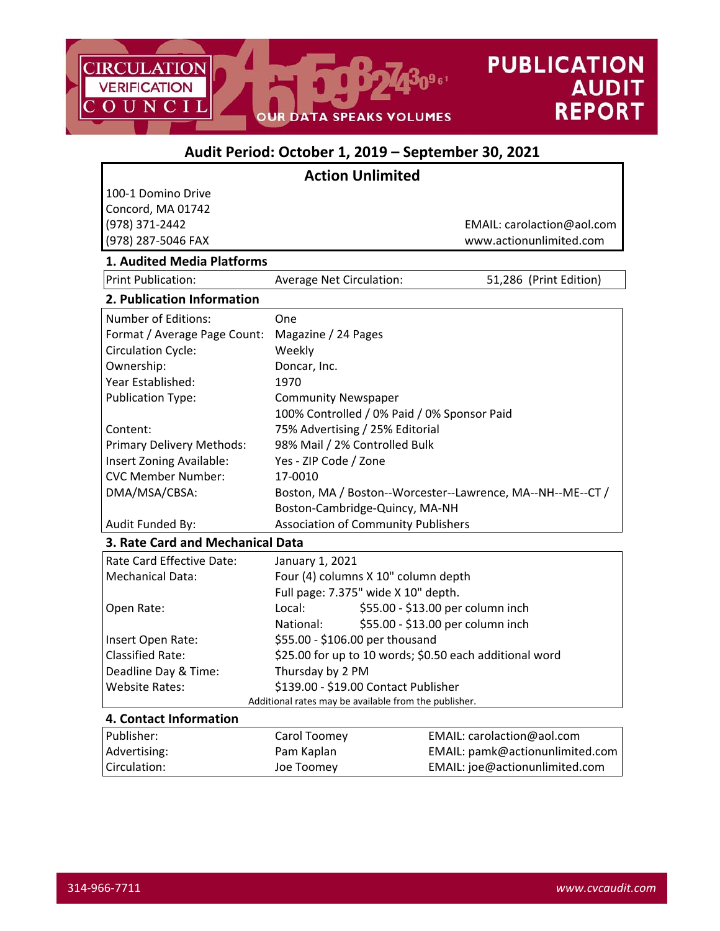

# **Audit Period: October 1, 2019 – September 30, 2021 Action Unlimited** 100‐1 Domino Drive Concord, MA 01742 (978) 371‐2442 EMAIL: carolaction@aol.com (978) 287‐5046 FAX www.actionunlimited.com **1. Audited Media Platforms** Print Publication: *Average Net Circulation:* 51,286 (Print Edition) **2. Publication Information** Number of Editions: 0ne Format / Average Page Count: Magazine / 24 Pages Circulation Cycle: Weekly Ownership: Doncar, Inc. Year Established: 1970 Publication Type: Community Newspaper 100% Controlled / 0% Paid / 0% Sponsor Paid Content: 75% Advertising / 25% Editorial Primary Delivery Methods: 98% Mail / 2% Controlled Bulk Insert Zoning Available: Yes ‐ ZIP Code / Zone CVC Member Number: 17‐0010 DMA/MSA/CBSA: Boston, MA / Boston--Worcester--Lawrence, MA--NH--ME--CT / Boston‐Cambridge‐Quincy, MA‐NH Audit Funded By: Association of Community Publishers **3. Rate Card and Mechanical Data** Rate Card Effective Date: January 1, 2021 Mechanical Data: Four (4) columns X 10" column depth Full page: 7.375" wide X 10" depth. Open Rate: Local: \$55.00 ‐ \$13.00 per column inch National: \$55.00 ‐ \$13.00 per column inch Insert Open Rate: \$55.00 ‐ \$106.00 per thousand Classified Rate:  $\frac{25.00 \text{ for up to 10 words; } 50.50 \text{ each additional word}}{525.00 \text{ for up to 10 words; } 50.50 \text{ each additional word}}$ Deadline Day & Time: Thursday by 2 PM Website Rates: \$139.00 ‐ \$19.00 Contact Publisher Additional rates may be available from the publisher. **4. Contact Information** Publisher: 
Fublisher: Carol Toomey 
EMAIL: carolaction @aol.com Advertising: The Magnum Pam Kaplan **Communical EMAIL:** pamk@actionunlimited.com

Circulation: Joe Toomey EMAIL: joe@actionunlimited.com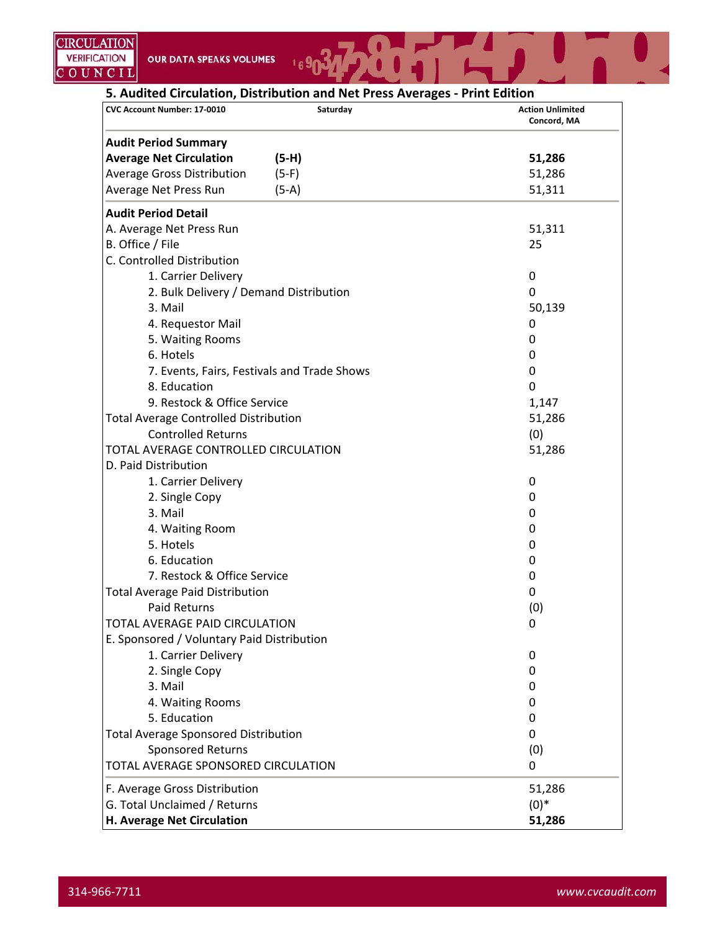169034

NT TIL

| CVC Account Number: 17-0010                  | Saturday | <b>Action Unlimited</b><br>Concord, MA |
|----------------------------------------------|----------|----------------------------------------|
| <b>Audit Period Summary</b>                  |          |                                        |
| <b>Average Net Circulation</b>               | $(5-H)$  | 51,286                                 |
| <b>Average Gross Distribution</b>            | $(5-F)$  | 51,286                                 |
| Average Net Press Run                        | $(5-A)$  | 51,311                                 |
| <b>Audit Period Detail</b>                   |          |                                        |
| A. Average Net Press Run                     |          | 51,311                                 |
| B. Office / File                             |          | 25                                     |
| C. Controlled Distribution                   |          |                                        |
| 1. Carrier Delivery                          |          | 0                                      |
| 2. Bulk Delivery / Demand Distribution       |          | 0                                      |
| 3. Mail                                      |          | 50,139                                 |
| 4. Requestor Mail                            |          | 0                                      |
| 5. Waiting Rooms                             |          | 0                                      |
| 6. Hotels                                    |          | 0                                      |
| 7. Events, Fairs, Festivals and Trade Shows  |          | 0                                      |
| 8. Education                                 |          | 0                                      |
| 9. Restock & Office Service                  |          | 1,147                                  |
| <b>Total Average Controlled Distribution</b> |          | 51,286                                 |
| <b>Controlled Returns</b>                    |          | (0)                                    |
| TOTAL AVERAGE CONTROLLED CIRCULATION         |          | 51,286                                 |
| D. Paid Distribution                         |          |                                        |
| 1. Carrier Delivery                          |          | 0                                      |
| 2. Single Copy                               |          | 0                                      |
| 3. Mail                                      |          | 0                                      |
| 4. Waiting Room                              |          | 0                                      |
| 5. Hotels                                    |          | 0                                      |
| 6. Education                                 |          | 0                                      |
| 7. Restock & Office Service                  |          | 0                                      |
| <b>Total Average Paid Distribution</b>       |          | 0                                      |
| Paid Returns                                 |          | (0)                                    |
| TOTAL AVERAGE PAID CIRCULATION               |          | 0                                      |
| E. Sponsored / Voluntary Paid Distribution   |          |                                        |
| 1. Carrier Delivery                          |          | 0                                      |
| 2. Single Copy                               |          | 0                                      |
| 3. Mail                                      |          | 0                                      |
| 4. Waiting Rooms                             |          | O                                      |
| 5. Education                                 |          | 0                                      |
| <b>Total Average Sponsored Distribution</b>  |          | 0                                      |
| Sponsored Returns                            |          | (0)                                    |
| TOTAL AVERAGE SPONSORED CIRCULATION          |          | 0                                      |
| F. Average Gross Distribution                |          | 51,286                                 |
| G. Total Unclaimed / Returns                 |          | $(0)*$                                 |
| H. Average Net Circulation                   |          | 51,286                                 |

 $\mathbf{U}_{\mathbf{A}}$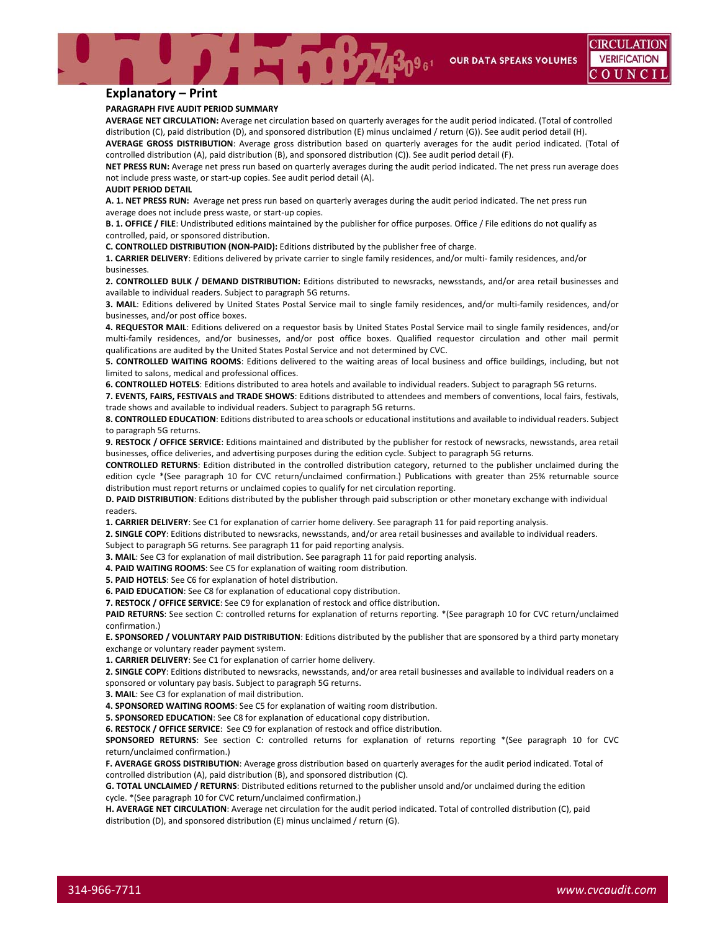**OUR DATA SPEAKS VOLUMES** 

### **Explanatory – Print**

#### **PARAGRAPH FIVE AUDIT PERIOD SUMMARY**

**AVERAGE NET CIRCULATION:** Average net circulation based on quarterly averages for the audit period indicated. (Total of controlled distribution (C), paid distribution (D), and sponsored distribution (E) minus unclaimed / return (G)). See audit period detail (H). **AVERAGE GROSS DISTRIBUTION**: Average gross distribution based on quarterly averages for the audit period indicated. (Total of

controlled distribution (A), paid distribution (B), and sponsored distribution (C)). See audit period detail (F).

**NET PRESS RUN:** Average net press run based on quarterly averages during the audit period indicated. The net press run average does not include press waste, or start‐up copies. See audit period detail (A).

#### **AUDIT PERIOD DETAIL**

**A. 1. NET PRESS RUN:** Average net press run based on quarterly averages during the audit period indicated. The net press run average does not include press waste, or start‐up copies.

**B. 1. OFFICE / FILE**: Undistributed editions maintained by the publisher for office purposes. Office / File editions do not qualify as controlled, paid, or sponsored distribution.

**C. CONTROLLED DISTRIBUTION (NON‐PAID):** Editions distributed by the publisher free of charge.

**1. CARRIER DELIVERY**: Editions delivered by private carrier to single family residences, and/or multi‐ family residences, and/or businesses.

**2. CONTROLLED BULK / DEMAND DISTRIBUTION:** Editions distributed to newsracks, newsstands, and/or area retail businesses and available to individual readers. Subject to paragraph 5G returns.

**3. MAIL**: Editions delivered by United States Postal Service mail to single family residences, and/or multi‐family residences, and/or businesses, and/or post office boxes.

**4. REQUESTOR MAIL**: Editions delivered on a requestor basis by United States Postal Service mail to single family residences, and/or multi-family residences, and/or businesses, and/or post office boxes. Qualified requestor circulation and other mail permit qualifications are audited by the United States Postal Service and not determined by CVC.

**5. CONTROLLED WAITING ROOMS**: Editions delivered to the waiting areas of local business and office buildings, including, but not limited to salons, medical and professional offices.

**6. CONTROLLED HOTELS**: Editions distributed to area hotels and available to individual readers. Subject to paragraph 5G returns.

**7. EVENTS, FAIRS, FESTIVALS and TRADE SHOWS**: Editions distributed to attendees and members of conventions, local fairs, festivals, trade shows and available to individual readers. Subject to paragraph 5G returns.

**8. CONTROLLED EDUCATION**: Editions distributed to area schools or educational institutions and available to individual readers. Subject to paragraph 5G returns.

**9. RESTOCK / OFFICE SERVICE**: Editions maintained and distributed by the publisher for restock of newsracks, newsstands, area retail businesses, office deliveries, and advertising purposes during the edition cycle. Subject to paragraph 5G returns.

**CONTROLLED RETURNS**: Edition distributed in the controlled distribution category, returned to the publisher unclaimed during the edition cycle \*(See paragraph 10 for CVC return/unclaimed confirmation.) Publications with greater than 25% returnable source distribution must report returns or unclaimed copies to qualify for net circulation reporting.

**D. PAID DISTRIBUTION**: Editions distributed by the publisher through paid subscription or other monetary exchange with individual readers.

**1. CARRIER DELIVERY**: See C1 for explanation of carrier home delivery. See paragraph 11 for paid reporting analysis.

**2. SINGLE COPY**: Editions distributed to newsracks, newsstands, and/or area retail businesses and available to individual readers. Subject to paragraph 5G returns. See paragraph 11 for paid reporting analysis.

**3. MAIL**: See C3 for explanation of mail distribution. See paragraph 11 for paid reporting analysis.

**4. PAID WAITING ROOMS**: See C5 for explanation of waiting room distribution.

**5. PAID HOTELS**: See C6 for explanation of hotel distribution.

**6. PAID EDUCATION**: See C8 for explanation of educational copy distribution.

**7. RESTOCK / OFFICE SERVICE**: See C9 for explanation of restock and office distribution.

**PAID RETURNS**: See section C: controlled returns for explanation of returns reporting. \*(See paragraph 10 for CVC return/unclaimed confirmation.)

**E. SPONSORED / VOLUNTARY PAID DISTRIBUTION**: Editions distributed by the publisher that are sponsored by a third party monetary exchange or voluntary reader payment system.

**1. CARRIER DELIVERY**: See C1 for explanation of carrier home delivery.

**2. SINGLE COPY**: Editions distributed to newsracks, newsstands, and/or area retail businesses and available to individual readers on a sponsored or voluntary pay basis. Subject to paragraph 5G returns.

**3. MAIL**: See C3 for explanation of mail distribution.

**4. SPONSORED WAITING ROOMS**: See C5 for explanation of waiting room distribution.

**5. SPONSORED EDUCATION**: See C8 for explanation of educational copy distribution.

**6. RESTOCK / OFFICE SERVICE**: See C9 for explanation of restock and office distribution.

**SPONSORED RETURNS**: See section C: controlled returns for explanation of returns reporting \*(See paragraph 10 for CVC return/unclaimed confirmation.)

**F. AVERAGE GROSS DISTRIBUTION**: Average gross distribution based on quarterly averages for the audit period indicated. Total of controlled distribution (A), paid distribution (B), and sponsored distribution (C).

**G. TOTAL UNCLAIMED / RETURNS**: Distributed editions returned to the publisher unsold and/or unclaimed during the edition cycle. \*(See paragraph 10 for CVC return/unclaimed confirmation.)

**H. AVERAGE NET CIRCULATION**: Average net circulation for the audit period indicated. Total of controlled distribution (C), paid distribution (D), and sponsored distribution (E) minus unclaimed / return (G).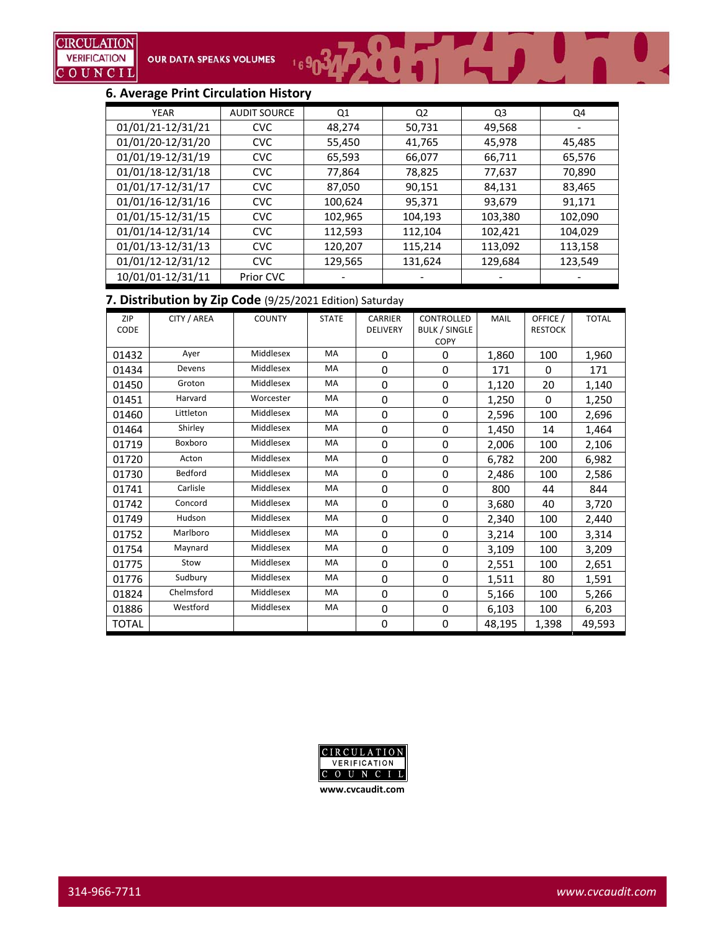# **6. Average Print Circulation History**

| <b>YEAR</b>       | <b>AUDIT SOURCE</b> | Q1      | Q <sub>2</sub> | Q3      | Q4      |
|-------------------|---------------------|---------|----------------|---------|---------|
| 01/01/21-12/31/21 | <b>CVC</b>          | 48,274  | 50,731         | 49,568  |         |
| 01/01/20-12/31/20 | <b>CVC</b>          | 55,450  | 41,765         | 45,978  | 45,485  |
| 01/01/19-12/31/19 | <b>CVC</b>          | 65,593  | 66,077         | 66,711  | 65,576  |
| 01/01/18-12/31/18 | <b>CVC</b>          | 77,864  | 78,825         | 77,637  | 70,890  |
| 01/01/17-12/31/17 | <b>CVC</b>          | 87,050  | 90,151         | 84,131  | 83,465  |
| 01/01/16-12/31/16 | <b>CVC</b>          | 100,624 | 95,371         | 93,679  | 91,171  |
| 01/01/15-12/31/15 | <b>CVC</b>          | 102,965 | 104,193        | 103,380 | 102,090 |
| 01/01/14-12/31/14 | <b>CVC</b>          | 112,593 | 112,104        | 102,421 | 104,029 |
| 01/01/13-12/31/13 | <b>CVC</b>          | 120,207 | 115,214        | 113,092 | 113,158 |
| 01/01/12-12/31/12 | <b>CVC</b>          | 129,565 | 131,624        | 129,684 | 123,549 |
| 10/01/01-12/31/11 | Prior CVC           |         |                |         |         |

169034 200 1 1 1 1 1

# **7. Distribution by Zip Code** (9/25/2021 Edition) Saturday

| ZIP   | CITY / AREA | <b>COUNTY</b> | <b>STATE</b> | <b>CARRIER</b>  | CONTROLLED           | <b>MAIL</b> | OFFICE /       | <b>TOTAL</b> |
|-------|-------------|---------------|--------------|-----------------|----------------------|-------------|----------------|--------------|
| CODE  |             |               |              | <b>DELIVERY</b> | <b>BULK / SINGLE</b> |             | <b>RESTOCK</b> |              |
|       |             |               |              |                 | COPY                 |             |                |              |
| 01432 | Aver        | Middlesex     | MA           | 0               | $\Omega$             | 1,860       | 100            | 1,960        |
| 01434 | Devens      | Middlesex     | MA           | 0               | 0                    | 171         | 0              | 171          |
| 01450 | Groton      | Middlesex     | MA           | 0               | 0                    | 1,120       | 20             | 1,140        |
| 01451 | Harvard     | Worcester     | MA           | 0               | $\Omega$             | 1,250       | $\Omega$       | 1,250        |
| 01460 | Littleton   | Middlesex     | MA           | 0               | $\Omega$             | 2,596       | 100            | 2,696        |
| 01464 | Shirley     | Middlesex     | MA           | 0               | $\mathbf 0$          | 1,450       | 14             | 1,464        |
| 01719 | Boxboro     | Middlesex     | MA           | 0               | $\Omega$             | 2,006       | 100            | 2,106        |
| 01720 | Acton       | Middlesex     | MA           | 0               | $\mathbf 0$          | 6,782       | 200            | 6,982        |
| 01730 | Bedford     | Middlesex     | <b>MA</b>    | 0               | $\mathbf 0$          | 2,486       | 100            | 2,586        |
| 01741 | Carlisle    | Middlesex     | MA           | 0               | 0                    | 800         | 44             | 844          |
| 01742 | Concord     | Middlesex     | MA           | 0               | $\mathbf 0$          | 3,680       | 40             | 3,720        |
| 01749 | Hudson      | Middlesex     | MA           | $\mathbf 0$     | $\mathbf 0$          | 2,340       | 100            | 2,440        |
| 01752 | Marlboro    | Middlesex     | <b>MA</b>    | 0               | $\mathbf 0$          | 3,214       | 100            | 3,314        |
| 01754 | Maynard     | Middlesex     | MA           | 0               | $\mathbf 0$          | 3,109       | 100            | 3,209        |
| 01775 | Stow        | Middlesex     | MA           | 0               | $\Omega$             | 2,551       | 100            | 2,651        |
| 01776 | Sudbury     | Middlesex     | MA           | 0               | $\Omega$             | 1,511       | 80             | 1,591        |
| 01824 | Chelmsford  | Middlesex     | MA           | 0               | $\mathbf 0$          | 5,166       | 100            | 5,266        |
| 01886 | Westford    | Middlesex     | MA           | 0               | $\Omega$             | 6,103       | 100            | 6,203        |
| TOTAL |             |               |              | 0               | $\mathbf 0$          | 48,195      | 1,398          | 49,593       |

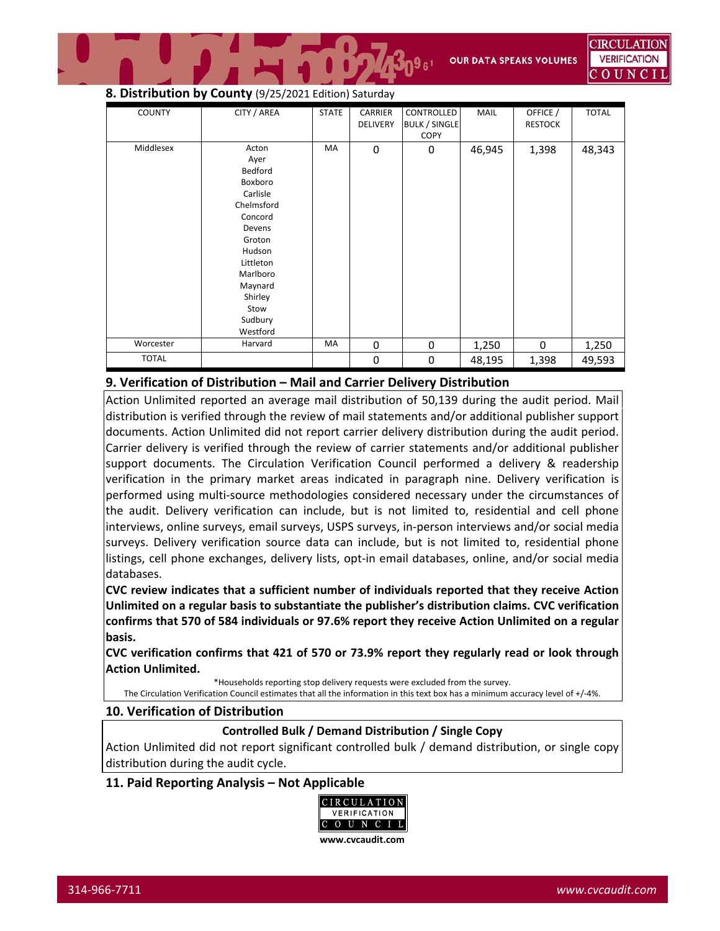# **8. Distribution by County** (9/25/2021 Edition) Saturday

| <b>COUNTY</b> | CITY / AREA                                                                                                                                                                          | <b>STATE</b> | CARRIER<br><b>DELIVERY</b> | CONTROLLED<br><b>BULK / SINGLE</b><br><b>COPY</b> | MAIL   | OFFICE /<br><b>RESTOCK</b> | <b>TOTAL</b> |
|---------------|--------------------------------------------------------------------------------------------------------------------------------------------------------------------------------------|--------------|----------------------------|---------------------------------------------------|--------|----------------------------|--------------|
| Middlesex     | Acton<br>Ayer<br>Bedford<br>Boxboro<br>Carlisle<br>Chelmsford<br>Concord<br>Devens<br>Groton<br>Hudson<br>Littleton<br>Marlboro<br>Maynard<br>Shirley<br>Stow<br>Sudbury<br>Westford | MA           | $\mathbf 0$                | 0                                                 | 46,945 | 1,398                      | 48,343       |
| Worcester     | Harvard                                                                                                                                                                              | MA           | $\mathbf 0$                | $\mathbf 0$                                       | 1,250  | $\mathbf 0$                | 1,250        |
| <b>TOTAL</b>  |                                                                                                                                                                                      |              | $\boldsymbol{0}$           | 0                                                 | 48,195 | 1,398                      | 49,593       |

# **9. Verification of Distribution – Mail and Carrier Delivery Distribution**

Action Unlimited reported an average mail distribution of 50,139 during the audit period. Mail distribution is verified through the review of mail statements and/or additional publisher support documents. Action Unlimited did not report carrier delivery distribution during the audit period. Carrier delivery is verified through the review of carrier statements and/or additional publisher support documents. The Circulation Verification Council performed a delivery & readership verification in the primary market areas indicated in paragraph nine. Delivery verification is performed using multi‐source methodologies considered necessary under the circumstances of the audit. Delivery verification can include, but is not limited to, residential and cell phone interviews, online surveys, email surveys, USPS surveys, in‐person interviews and/or social media surveys. Delivery verification source data can include, but is not limited to, residential phone listings, cell phone exchanges, delivery lists, opt-in email databases, online, and/or social media databases.

**CVC review indicates that a sufficient number of individuals reported that they receive Action Unlimited on a regular basis to substantiate the publisher's distribution claims. CVC verification confirms that 570 of 584 individuals or 97.6% report they receive Action Unlimited on a regular basis.** 

**CVC verification confirms that 421 of 570 or 73.9% report they regularly read or look through Action Unlimited.**

\*Households reporting stop delivery requests were excluded from the survey.

The Circulation Verification Council estimates that all the information in this text box has a minimum accuracy level of +/‐4%.

### **10. Verification of Distribution**

### **Controlled Bulk / Demand Distribution / Single Copy**

Action Unlimited did not report significant controlled bulk / demand distribution, or single copy distribution during the audit cycle.

## **11. Paid Reporting Analysis – Not Applicable**

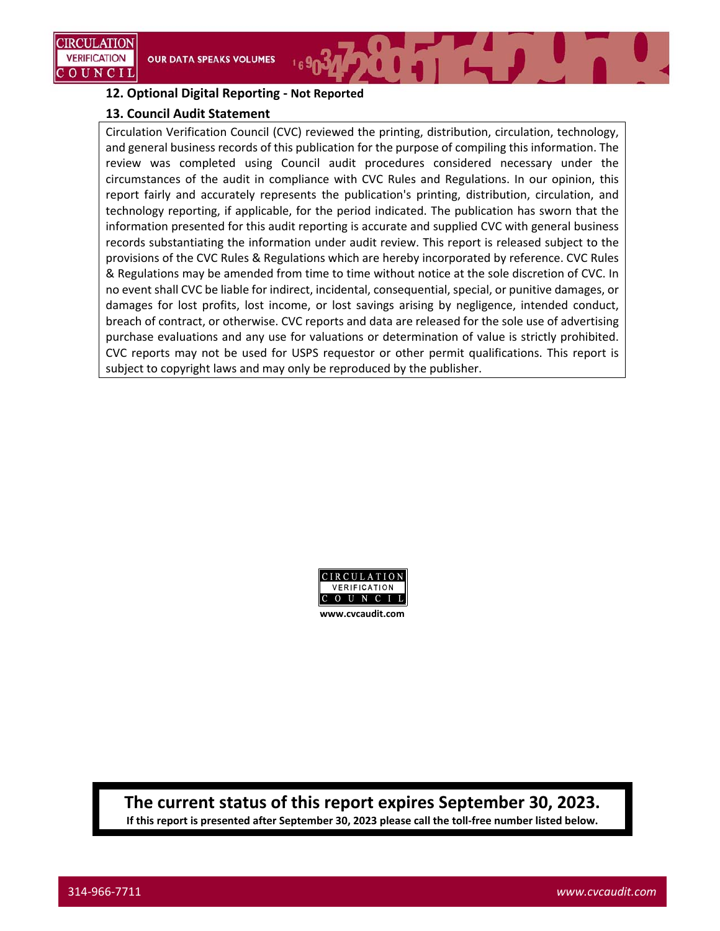# **12. Optional Digital Reporting ‐ Not Reported**

## **13. Council Audit Statement**

Circulation Verification Council (CVC) reviewed the printing, distribution, circulation, technology, and general business records of this publication for the purpose of compiling this information. The review was completed using Council audit procedures considered necessary under the circumstances of the audit in compliance with CVC Rules and Regulations. In our opinion, this report fairly and accurately represents the publication's printing, distribution, circulation, and technology reporting, if applicable, for the period indicated. The publication has sworn that the information presented for this audit reporting is accurate and supplied CVC with general business records substantiating the information under audit review. This report is released subject to the provisions of the CVC Rules & Regulations which are hereby incorporated by reference. CVC Rules & Regulations may be amended from time to time without notice at the sole discretion of CVC. In no event shall CVC be liable for indirect, incidental, consequential, special, or punitive damages, or damages for lost profits, lost income, or lost savings arising by negligence, intended conduct, breach of contract, or otherwise. CVC reports and data are released for the sole use of advertising purchase evaluations and any use for valuations or determination of value is strictly prohibited. CVC reports may not be used for USPS requestor or other permit qualifications. This report is subject to copyright laws and may only be reproduced by the publisher.



**The current status of this report expires September 30, 2023.** If this report is presented after September 30, 2023 please call the toll-free number listed below.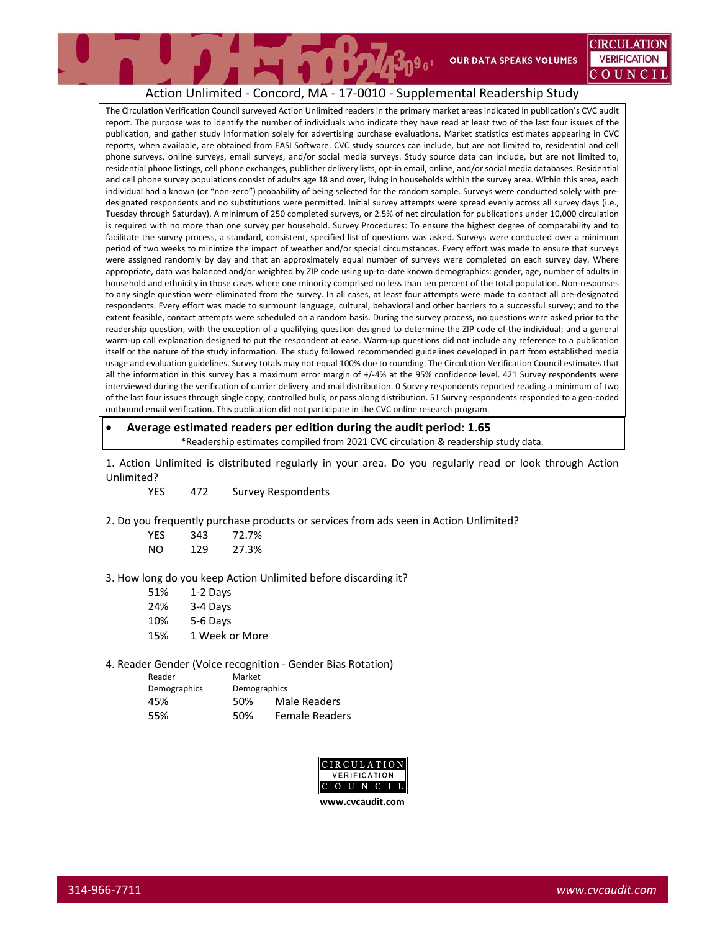CIRCULATION **VERIFICATION** C O U N

# Action Unlimited ‐ Concord, MA ‐ 17‐0010 ‐ Supplemental Readership Study

The Circulation Verification Council surveyed Action Unlimited readers in the primary market areas indicated in publication's CVC audit report. The purpose was to identify the number of individuals who indicate they have read at least two of the last four issues of the publication, and gather study information solely for advertising purchase evaluations. Market statistics estimates appearing in CVC reports, when available, are obtained from EASI Software. CVC study sources can include, but are not limited to, residential and cell phone surveys, online surveys, email surveys, and/or social media surveys. Study source data can include, but are not limited to, residential phone listings, cell phone exchanges, publisher delivery lists, opt‐in email, online, and/or social media databases. Residential and cell phone survey populations consist of adults age 18 and over, living in households within the survey area. Within this area, each individual had a known (or "non-zero") probability of being selected for the random sample. Surveys were conducted solely with predesignated respondents and no substitutions were permitted. Initial survey attempts were spread evenly across all survey days (i.e., Tuesday through Saturday). A minimum of 250 completed surveys, or 2.5% of net circulation for publications under 10,000 circulation is required with no more than one survey per household. Survey Procedures: To ensure the highest degree of comparability and to facilitate the survey process, a standard, consistent, specified list of questions was asked. Surveys were conducted over a minimum period of two weeks to minimize the impact of weather and/or special circumstances. Every effort was made to ensure that surveys were assigned randomly by day and that an approximately equal number of surveys were completed on each survey day. Where appropriate, data was balanced and/or weighted by ZIP code using up‐to‐date known demographics: gender, age, number of adults in household and ethnicity in those cases where one minority comprised no less than ten percent of the total population. Non‐responses to any single question were eliminated from the survey. In all cases, at least four attempts were made to contact all pre‐designated respondents. Every effort was made to surmount language, cultural, behavioral and other barriers to a successful survey; and to the extent feasible, contact attempts were scheduled on a random basis. During the survey process, no questions were asked prior to the readership question, with the exception of a qualifying question designed to determine the ZIP code of the individual; and a general warm-up call explanation designed to put the respondent at ease. Warm-up questions did not include any reference to a publication itself or the nature of the study information. The study followed recommended guidelines developed in part from established media usage and evaluation guidelines. Survey totals may not equal 100% due to rounding. The Circulation Verification Council estimates that all the information in this survey has a maximum error margin of +/‐4% at the 95% confidence level. 421 Survey respondents were interviewed during the verification of carrier delivery and mail distribution. 0 Survey respondents reported reading a minimum of two of the last four issues through single copy, controlled bulk, or pass along distribution. 51 Survey respondents responded to a geo‐coded outbound email verification. This publication did not participate in the CVC online research program.

 **Average estimated readers per edition during the audit period: 1.65** \*Readership estimates compiled from 2021 CVC circulation & readership study data.

1. Action Unlimited is distributed regularly in your area. Do you regularly read or look through Action Unlimited?

YES 472 Survey Respondents

2. Do you frequently purchase products or services from ads seen in Action Unlimited?

| YES | 343 | 72.7% |
|-----|-----|-------|
| NΟ  | 129 | 27.3% |

3. How long do you keep Action Unlimited before discarding it?

| 51% | 1-2 Days       |
|-----|----------------|
| 24% | 3-4 Days       |
| 10% | 5-6 Days       |
| 15% | 1 Week or More |

4. Reader Gender (Voice recognition ‐ Gender Bias Rotation)

| Market       |                       |
|--------------|-----------------------|
| Demographics |                       |
| 50%          | Male Readers          |
| 50%          | <b>Female Readers</b> |
|              |                       |



**www.cvcaudit.com**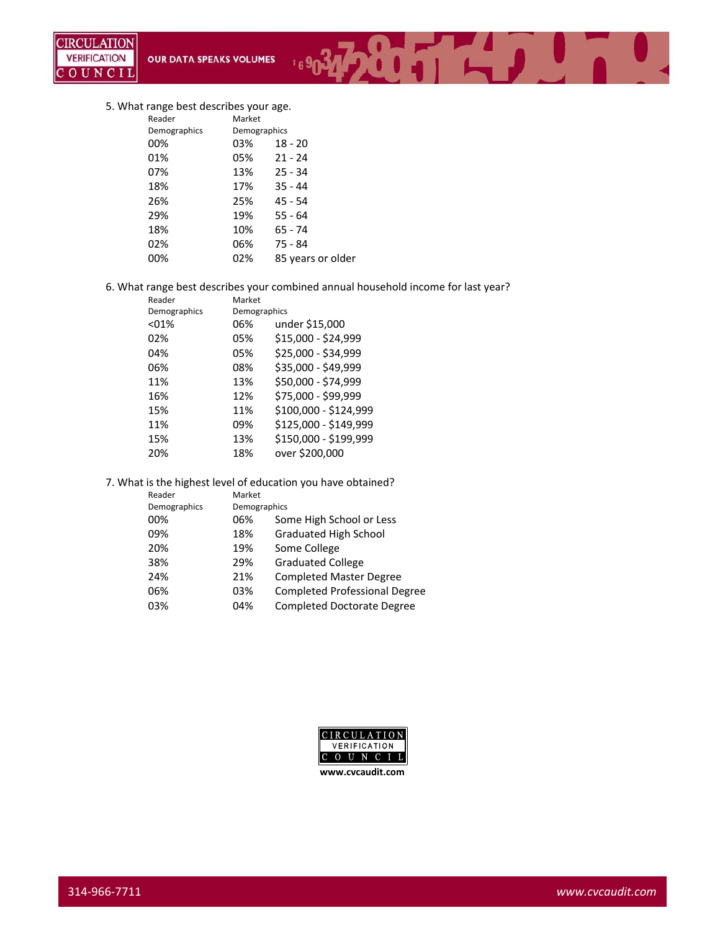#### 5. What range best describes your age.

| Reader       | Market       |                   |
|--------------|--------------|-------------------|
| Demographics | Demographics |                   |
| 00%          | 03%          | $18 - 20$         |
| 01%          | 05%          | $21 - 24$         |
| 07%          | 13%          | $25 - 34$         |
| 18%          | 17%          | $35 - 44$         |
| 26%          | 25%          | $45 - 54$         |
| 29%          | 19%          | $55 - 64$         |
| 18%          | 10%          | 65 - 74           |
| 02%          | 06%          | 75 - 84           |
| 00%          | 02%          | 85 years or older |
|              |              |                   |

6. What range best describes your combined annual household income for last year?

 $169$ 

 $0.7711170$ 

| Reader       | Market       |                       |
|--------------|--------------|-----------------------|
| Demographics | Demographics |                       |
| < 01%        | 06%          | under \$15,000        |
| 02%          | 05%          | \$15,000 - \$24,999   |
| 04%          | 05%          | \$25,000 - \$34,999   |
| 06%          | 08%          | \$35,000 - \$49,999   |
| 11%          | 13%          | \$50,000 - \$74,999   |
| 16%          | 12%          | \$75,000 - \$99,999   |
| 15%          | 11%          | \$100,000 - \$124,999 |
| 11%          | 09%          | \$125,000 - \$149,999 |
| 15%          | 13%          | \$150,000 - \$199,999 |
| 20%          | 18%          | over \$200,000        |

#### 7. What is the highest level of education you have obtained?

| Reader       | Market       |                                      |
|--------------|--------------|--------------------------------------|
| Demographics | Demographics |                                      |
| 00%          | 06%          | Some High School or Less             |
| 09%          | 18%          | <b>Graduated High School</b>         |
| 20%          | 19%          | Some College                         |
| 38%          | 29%          | <b>Graduated College</b>             |
| 24%          | 21%          | <b>Completed Master Degree</b>       |
| 06%          | 03%          | <b>Completed Professional Degree</b> |
| 03%          | 04%          | <b>Completed Doctorate Degree</b>    |
|              |              |                                      |